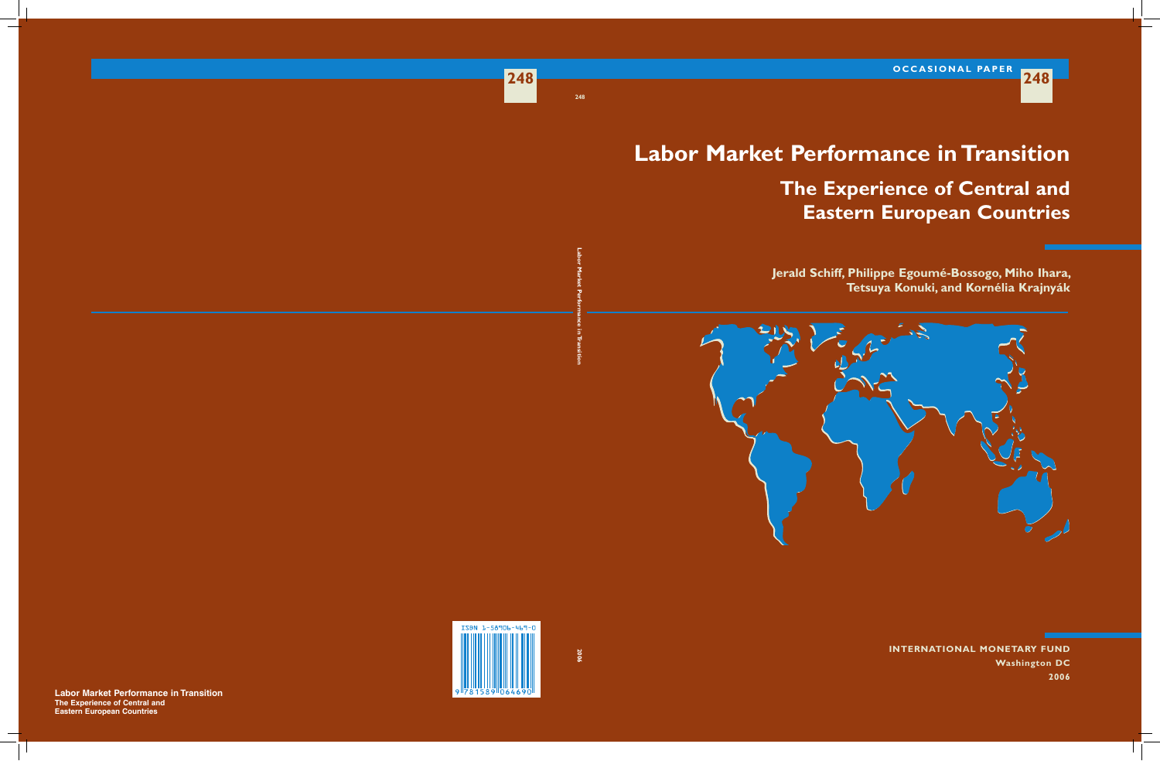**248**

# **Labor Market Performance in Transition The Experience of Central and Eastern European Countries**

**Jerald Schiff, Philippe Egoumé-Bossogo, Miho Ihara, Tetsuya Konuki, and Kornélia Krajnyák**



**International Monetary Fund Washington DC 2006**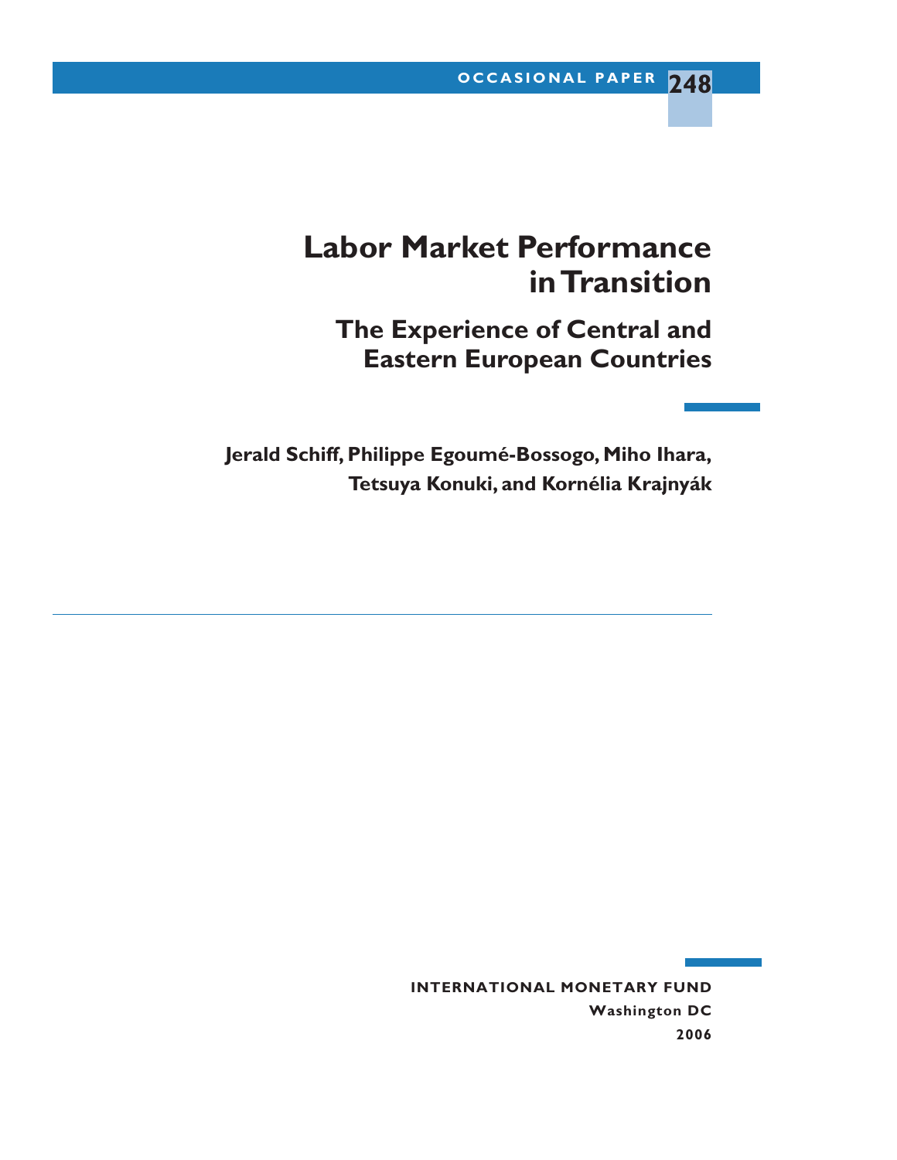# **Labor Market Performance in Transition**

**The Experience of Central and Eastern European Countries**

**Jerald Schiff, Philippe Egoumé-Bossogo, Miho Ihara, Tetsuya Konuki, and Kornélia Krajnyák**

> **INTERNATIONAL MONETARY FUND Washington DC 2006**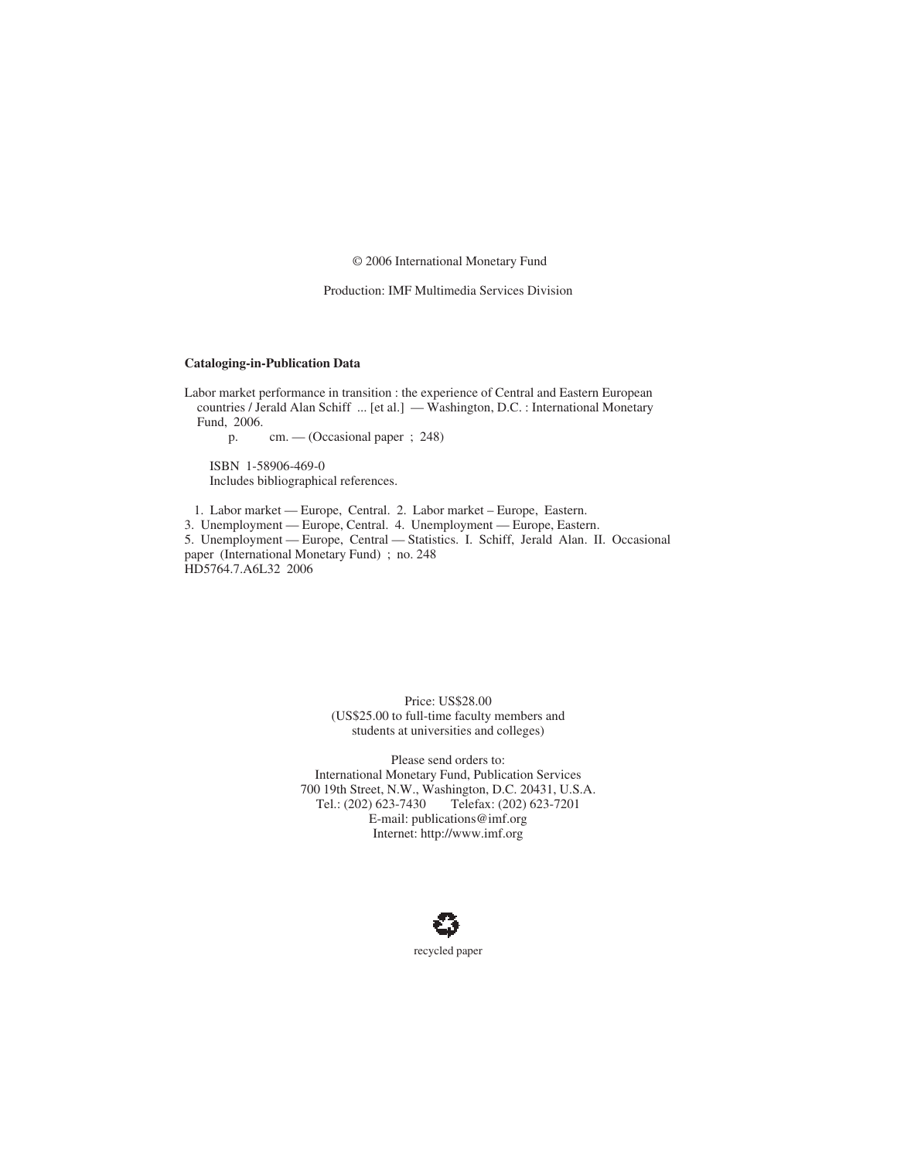© 2006 International Monetary Fund

Production: IMF Multimedia Services Division

#### **Cataloging-in-Publication Data**

Labor market performance in transition : the experience of Central and Eastern European countries / Jerald Alan Schiff ... [et al.] — Washington, D.C. : International Monetary Fund, 2006.

p. cm. — (Occasional paper ; 248)

ISBN 1-58906-469-0 Includes bibliographical references.

1. Labor market — Europe, Central. 2. Labor market – Europe, Eastern.

3. Unemployment — Europe, Central. 4. Unemployment — Europe, Eastern.

5. Unemployment — Europe, Central — Statistics. I. Schiff, Jerald Alan. II. Occasional paper (International Monetary Fund) ; no. 248 HD5764.7.A6L32 2006

> Price: US\$28.00 (US\$25.00 to full-time faculty members and students at universities and colleges)

Please send orders to: International Monetary Fund, Publication Services 700 19th Street, N.W., Washington, D.C. 20431, U.S.A. Tel.: (202) 623-7430 Telefax: (202) 623-7201 E-mail: publications@imf.org Internet: http://www.imf.org

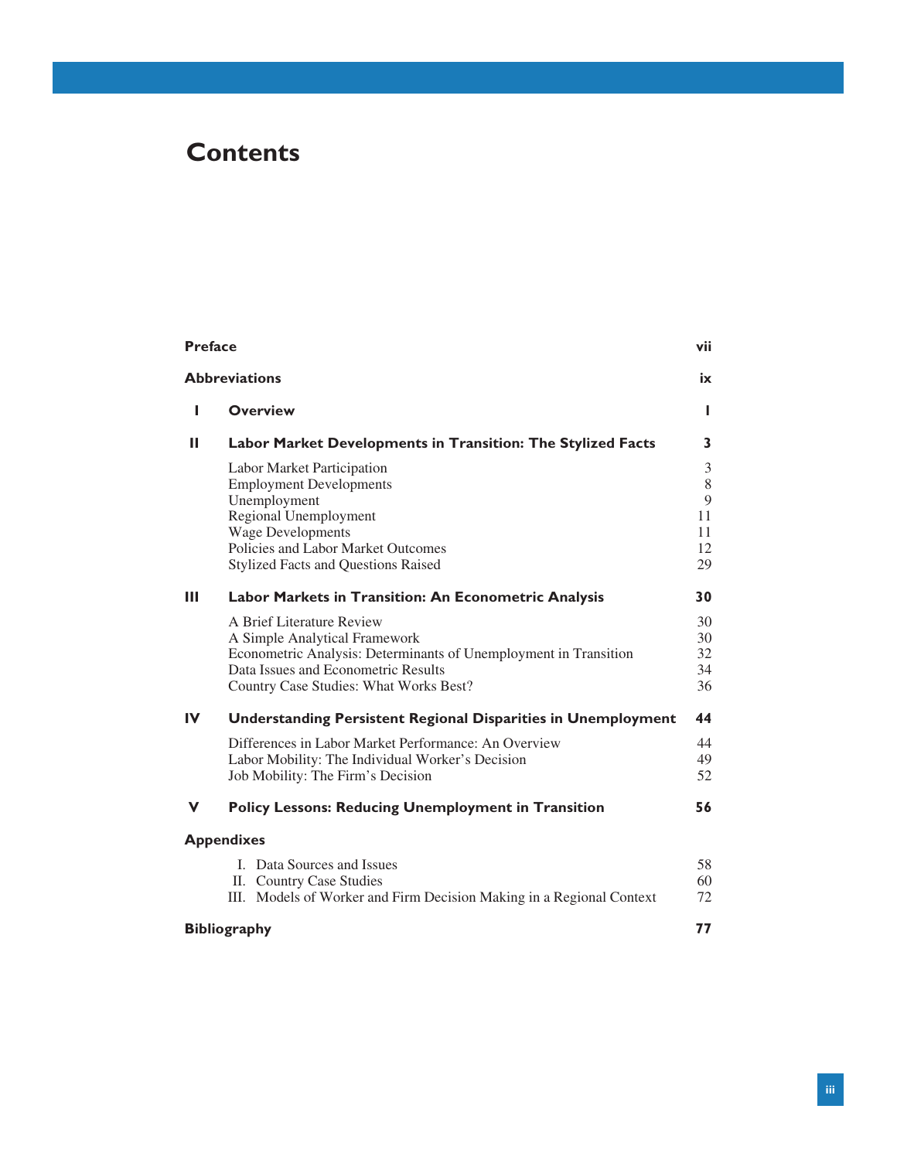### **Contents**

| <b>Preface</b><br>vii |                                                                      |          |
|-----------------------|----------------------------------------------------------------------|----------|
|                       | <b>Abbreviations</b>                                                 | ix       |
| п                     | <b>Overview</b>                                                      | L        |
| Ш                     | Labor Market Developments in Transition: The Stylized Facts          | 3        |
|                       | Labor Market Participation<br><b>Employment Developments</b>         | 3<br>8   |
|                       | Unemployment                                                         | 9<br>11  |
|                       | Regional Unemployment<br><b>Wage Developments</b>                    | 11       |
|                       | Policies and Labor Market Outcomes                                   | 12       |
|                       | <b>Stylized Facts and Questions Raised</b>                           | 29       |
| Ш                     | Labor Markets in Transition: An Econometric Analysis                 | 30       |
|                       | A Brief Literature Review                                            | 30       |
|                       | A Simple Analytical Framework                                        | 30       |
|                       | Econometric Analysis: Determinants of Unemployment in Transition     | 32       |
|                       | Data Issues and Econometric Results                                  | 34<br>36 |
|                       | Country Case Studies: What Works Best?                               |          |
| $\mathbf{I}$          | <b>Understanding Persistent Regional Disparities in Unemployment</b> | 44       |
|                       | Differences in Labor Market Performance: An Overview                 | 44       |
|                       | Labor Mobility: The Individual Worker's Decision                     | 49       |
|                       | Job Mobility: The Firm's Decision                                    | 52       |
| v                     | <b>Policy Lessons: Reducing Unemployment in Transition</b>           | 56       |
|                       | <b>Appendixes</b>                                                    |          |
|                       | <b>I.</b> Data Sources and Issues                                    | 58       |
|                       | II. Country Case Studies                                             | 60       |
|                       | III. Models of Worker and Firm Decision Making in a Regional Context | 72       |
|                       | <b>Bibliography</b>                                                  | 77       |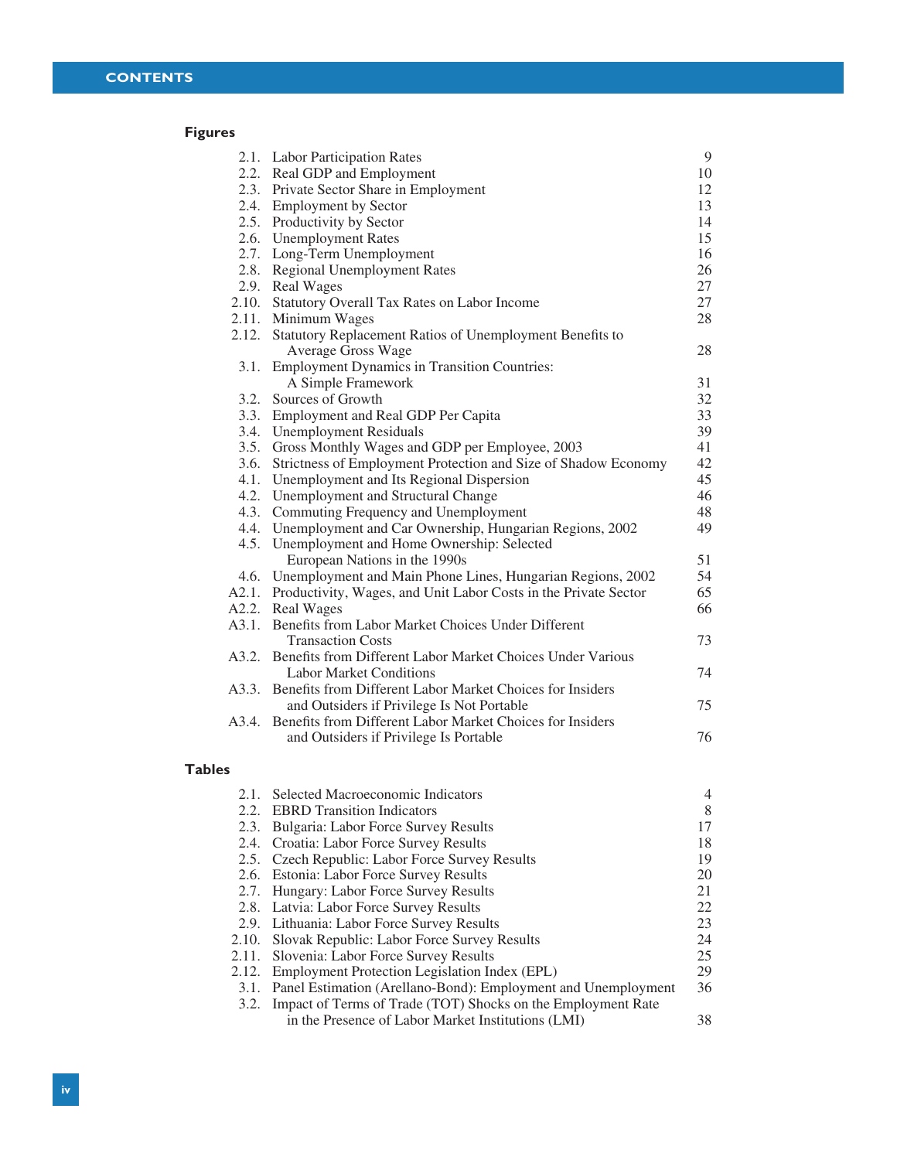#### **Figures**

|               | 2.1. Labor Participation Rates                                                              | 9  |
|---------------|---------------------------------------------------------------------------------------------|----|
|               | 2.2. Real GDP and Employment                                                                | 10 |
|               | 2.3. Private Sector Share in Employment                                                     | 12 |
|               | 2.4. Employment by Sector                                                                   | 13 |
|               | 2.5. Productivity by Sector                                                                 | 14 |
|               | 2.6. Unemployment Rates                                                                     | 15 |
|               | 2.7. Long-Term Unemployment                                                                 | 16 |
|               | 2.8. Regional Unemployment Rates                                                            | 26 |
|               | 2.9. Real Wages                                                                             | 27 |
|               | 2.10. Statutory Overall Tax Rates on Labor Income                                           | 27 |
|               | 2.11. Minimum Wages                                                                         | 28 |
|               | 2.12. Statutory Replacement Ratios of Unemployment Benefits to<br><b>Average Gross Wage</b> | 28 |
|               | 3.1. Employment Dynamics in Transition Countries:                                           |    |
|               | A Simple Framework                                                                          | 31 |
|               | 3.2. Sources of Growth                                                                      | 32 |
|               | 3.3. Employment and Real GDP Per Capita                                                     | 33 |
|               | 3.4. Unemployment Residuals                                                                 | 39 |
|               | 3.5. Gross Monthly Wages and GDP per Employee, 2003                                         | 41 |
|               | 3.6. Strictness of Employment Protection and Size of Shadow Economy                         | 42 |
|               | 4.1. Unemployment and Its Regional Dispersion                                               | 45 |
|               | 4.2. Unemployment and Structural Change                                                     | 46 |
|               | 4.3. Commuting Frequency and Unemployment                                                   | 48 |
|               | 4.4. Unemployment and Car Ownership, Hungarian Regions, 2002                                | 49 |
|               | 4.5. Unemployment and Home Ownership: Selected<br>European Nations in the 1990s             | 51 |
|               | 4.6. Unemployment and Main Phone Lines, Hungarian Regions, 2002                             | 54 |
|               | A2.1. Productivity, Wages, and Unit Labor Costs in the Private Sector                       | 65 |
|               | A2.2. Real Wages                                                                            | 66 |
|               | A3.1. Benefits from Labor Market Choices Under Different                                    |    |
|               | <b>Transaction Costs</b>                                                                    | 73 |
|               | A3.2. Benefits from Different Labor Market Choices Under Various                            |    |
|               | <b>Labor Market Conditions</b>                                                              | 74 |
|               | A3.3. Benefits from Different Labor Market Choices for Insiders                             |    |
|               | and Outsiders if Privilege Is Not Portable                                                  | 75 |
| A3.4.         | Benefits from Different Labor Market Choices for Insiders                                   |    |
|               | and Outsiders if Privilege Is Portable                                                      | 76 |
|               |                                                                                             |    |
| <b>Tables</b> |                                                                                             |    |
|               | 2.1. Selected Macroeconomic Indicators                                                      | 4  |
| 2.2.          | <b>EBRD</b> Transition Indicators                                                           | 8  |
| 2.3.          | Bulgaria: Labor Force Survey Results                                                        | 17 |
| 2.4.          | Croatia: Labor Force Survey Results                                                         | 18 |
| 2.5.          | Czech Republic: Labor Force Survey Results                                                  | 19 |
| 2.6.          | Estonia: Labor Force Survey Results                                                         | 20 |
| 2.7.          | Hungary: Labor Force Survey Results                                                         | 21 |
| 2.8.          | Latvia: Labor Force Survey Results                                                          | 22 |
|               | 2.9. Lithuania: Labor Force Survey Results                                                  | 23 |
| 2.10.         | Slovak Republic: Labor Force Survey Results                                                 | 24 |
| 2.11.         | Slovenia: Labor Force Survey Results                                                        | 25 |
| 2.12.         | Employment Protection Legislation Index (EPL)                                               | 29 |
|               |                                                                                             |    |

3.1. Panel Estimation (Arellano-Bond): Employment and Unemployment 36 3.2. Impact of Terms of Trade (TOT) Shocks on the Employment Rate in the Presence of Labor Market Institutions (LMI) 38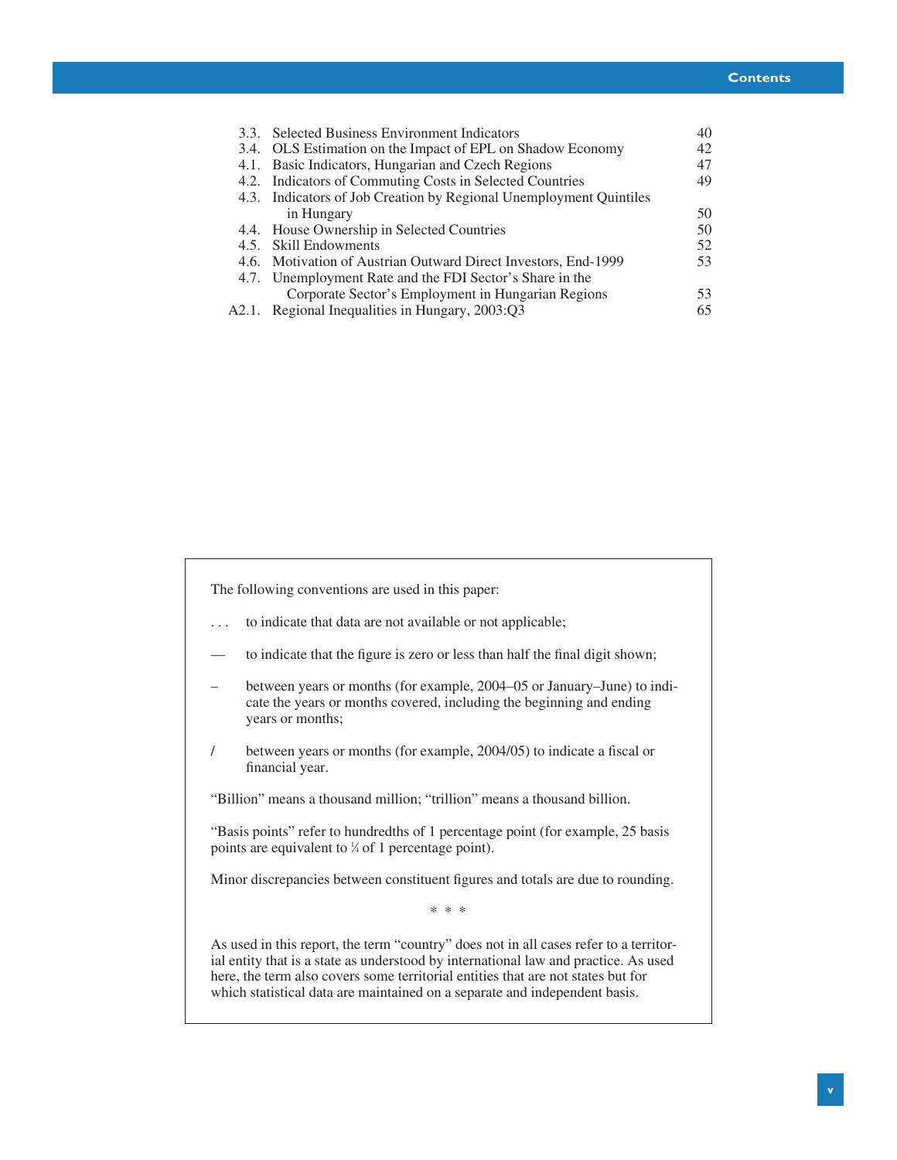| 3.3. Selected Business Environment Indicators                      | 40 |
|--------------------------------------------------------------------|----|
| 3.4. OLS Estimation on the Impact of EPL on Shadow Economy         | 42 |
| 4.1. Basic Indicators, Hungarian and Czech Regions                 | 47 |
| 4.2. Indicators of Commuting Costs in Selected Countries           | 49 |
| 4.3. Indicators of Job Creation by Regional Unemployment Quintiles |    |
| in Hungary                                                         | 50 |
| 4.4. House Ownership in Selected Countries                         | 50 |
| 4.5. Skill Endowments                                              | 52 |
| 4.6. Motivation of Austrian Outward Direct Investors, End-1999     | 53 |
| 4.7. Unemployment Rate and the FDI Sector's Share in the           |    |
| Corporate Sector's Employment in Hungarian Regions                 | 53 |
| A2.1. Regional Inequalities in Hungary, 2003:Q3                    | 65 |
|                                                                    |    |

The following conventions are used in this paper:

- . . . to indicate that data are not available or not applicable;
- to indicate that the figure is zero or less than half the final digit shown;
- between years or months (for example, 2004–05 or January–June) to indicate the years or months covered, including the beginning and ending years or months;
- / between years or months (for example, 2004/05) to indicate a fiscal or financial year.

"Billion" means a thousand million; "trillion" means a thousand billion.

"Basis points" refer to hundredths of 1 percentage point (for example, 25 basis points are equivalent to  $\frac{1}{4}$  of 1 percentage point).

Minor discrepancies between constituent figures and totals are due to rounding.

\* \* \*

As used in this report, the term "country" does not in all cases refer to a territorial entity that is a state as understood by international law and practice. As used here, the term also covers some territorial entities that are not states but for which statistical data are maintained on a separate and independent basis.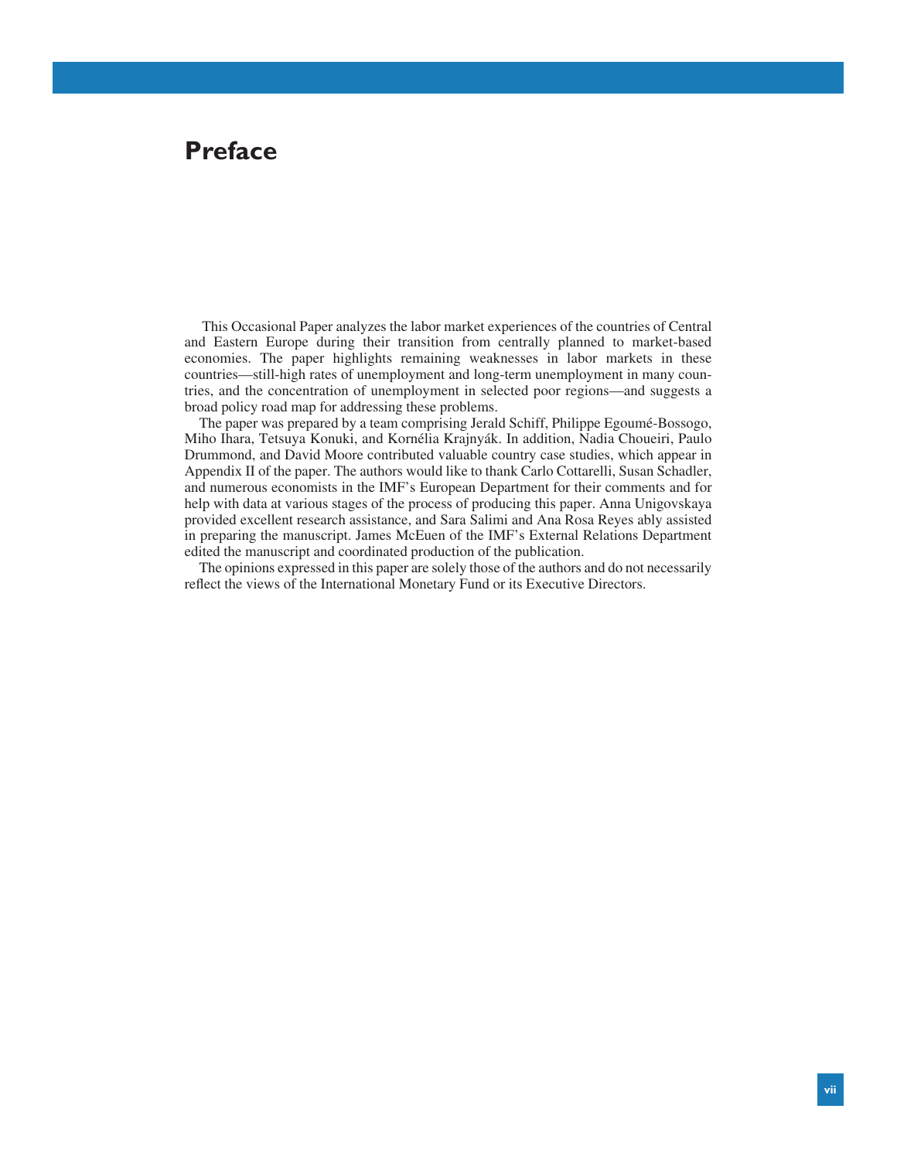### **Preface**

This Occasional Paper analyzes the labor market experiences of the countries of Central and Eastern Europe during their transition from centrally planned to market-based economies. The paper highlights remaining weaknesses in labor markets in these countries—still-high rates of unemployment and long-term unemployment in many countries, and the concentration of unemployment in selected poor regions—and suggests a broad policy road map for addressing these problems.

The paper was prepared by a team comprising Jerald Schiff, Philippe Egoumé-Bossogo, Miho Ihara, Tetsuya Konuki, and Kornélia Krajnyák. In addition, Nadia Choueiri, Paulo Drummond, and David Moore contributed valuable country case studies, which appear in Appendix II of the paper. The authors would like to thank Carlo Cottarelli, Susan Schadler, and numerous economists in the IMF's European Department for their comments and for help with data at various stages of the process of producing this paper. Anna Unigovskaya provided excellent research assistance, and Sara Salimi and Ana Rosa Reyes ably assisted in preparing the manuscript. James McEuen of the IMF's External Relations Department edited the manuscript and coordinated production of the publication.

The opinions expressed in this paper are solely those of the authors and do not necessarily reflect the views of the International Monetary Fund or its Executive Directors.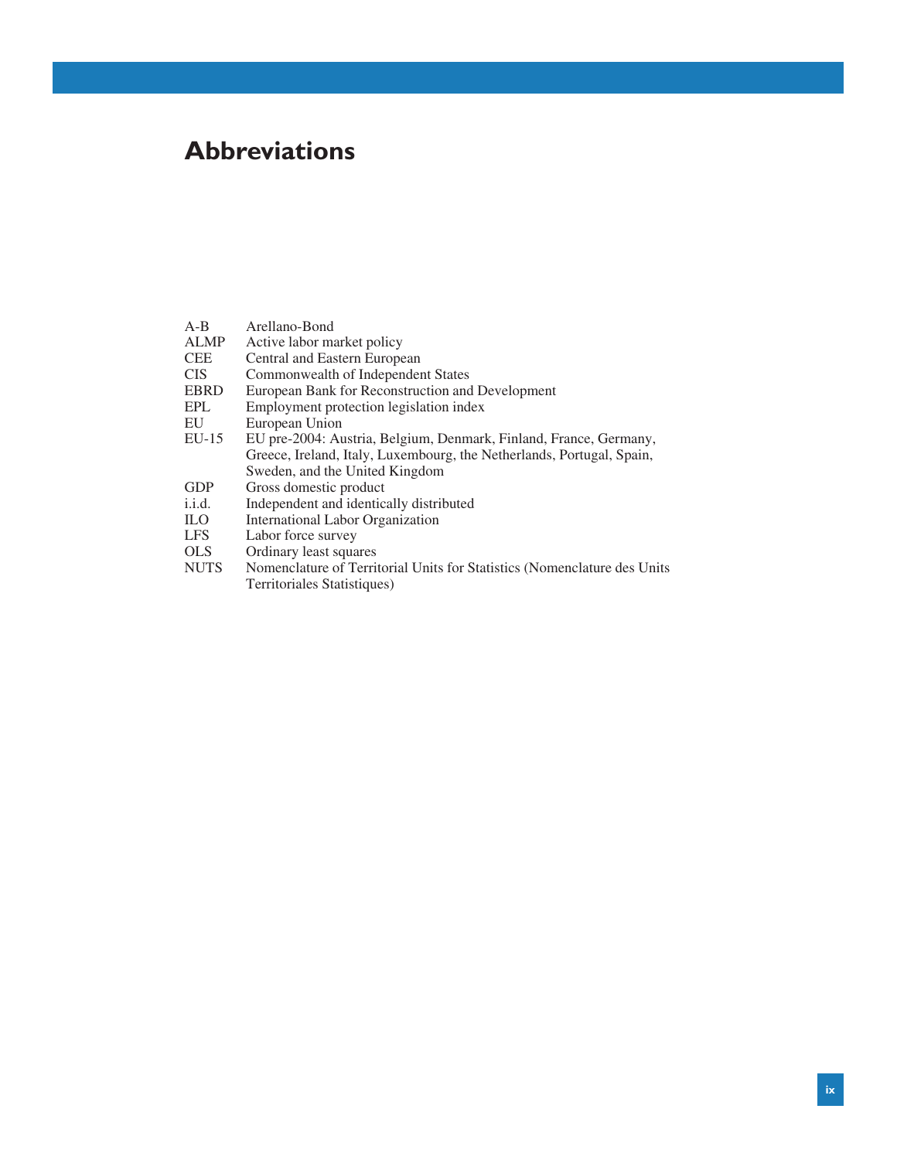## **Abbreviations**

| $A - B$<br><b>ALMP</b> | Arellano-Bond<br>Active labor market policy                              |
|------------------------|--------------------------------------------------------------------------|
| <b>CEE</b>             | Central and Eastern European                                             |
| <b>CIS</b>             | Commonwealth of Independent States                                       |
| <b>EBRD</b>            | European Bank for Reconstruction and Development                         |
| EPL                    | Employment protection legislation index                                  |
| EU                     | European Union                                                           |
| $EU-15$                | EU pre-2004: Austria, Belgium, Denmark, Finland, France, Germany,        |
|                        | Greece, Ireland, Italy, Luxembourg, the Netherlands, Portugal, Spain,    |
|                        | Sweden, and the United Kingdom                                           |
| <b>GDP</b>             | Gross domestic product                                                   |
| i.i.d.                 | Independent and identically distributed                                  |
| ILO.                   | <b>International Labor Organization</b>                                  |
| <b>LFS</b>             | Labor force survey                                                       |
| <b>OLS</b>             | Ordinary least squares                                                   |
| <b>NUTS</b>            | Nomenclature of Territorial Units for Statistics (Nomenclature des Units |
|                        | Territoriales Statistiques)                                              |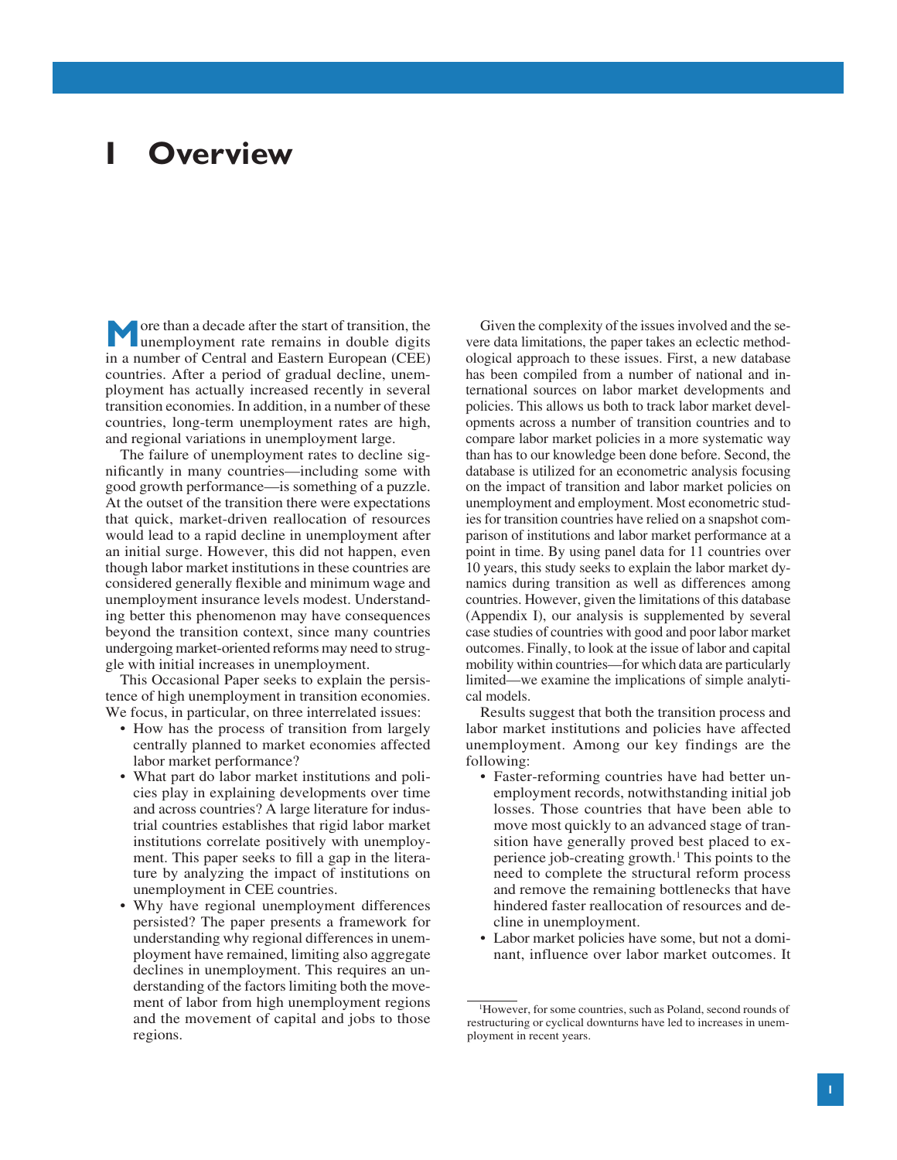# **I Overview**

**M** ore than a decade after the start of transition, the unemployment rate remains in double digits in a number of Central and Eastern European (CEE) countries. After a period of gradual decline, unemployment has actually increased recently in several transition economies. In addition, in a number of these countries, long-term unemployment rates are high, and regional variations in unemployment large.

The failure of unemployment rates to decline significantly in many countries—including some with good growth performance—is something of a puzzle. At the outset of the transition there were expectations that quick, market-driven reallocation of resources would lead to a rapid decline in unemployment after an initial surge. However, this did not happen, even though labor market institutions in these countries are considered generally flexible and minimum wage and unemployment insurance levels modest. Understanding better this phenomenon may have consequences beyond the transition context, since many countries undergoing market-oriented reforms may need to struggle with initial increases in unemployment.

This Occasional Paper seeks to explain the persistence of high unemployment in transition economies. We focus, in particular, on three interrelated issues:

- How has the process of transition from largely centrally planned to market economies affected labor market performance?
- What part do labor market institutions and policies play in explaining developments over time and across countries? A large literature for industrial countries establishes that rigid labor market institutions correlate positively with unemployment. This paper seeks to fill a gap in the literature by analyzing the impact of institutions on unemployment in CEE countries.
- Why have regional unemployment differences persisted? The paper presents a framework for understanding why regional differences in unemployment have remained, limiting also aggregate declines in unemployment. This requires an understanding of the factors limiting both the movement of labor from high unemployment regions and the movement of capital and jobs to those regions.

Given the complexity of the issues involved and the severe data limitations, the paper takes an eclectic methodological approach to these issues. First, a new database has been compiled from a number of national and international sources on labor market developments and policies. This allows us both to track labor market developments across a number of transition countries and to compare labor market policies in a more systematic way than has to our knowledge been done before. Second, the database is utilized for an econometric analysis focusing on the impact of transition and labor market policies on unemployment and employment. Most econometric studies for transition countries have relied on a snapshot comparison of institutions and labor market performance at a point in time. By using panel data for 11 countries over 10 years, this study seeks to explain the labor market dynamics during transition as well as differences among countries. However, given the limitations of this database (Appendix I), our analysis is supplemented by several case studies of countries with good and poor labor market outcomes. Finally, to look at the issue of labor and capital mobility within countries—for which data are particularly limited—we examine the implications of simple analytical models.

Results suggest that both the transition process and labor market institutions and policies have affected unemployment. Among our key findings are the following:

- Faster-reforming countries have had better unemployment records, notwithstanding initial job losses. Those countries that have been able to move most quickly to an advanced stage of transition have generally proved best placed to experience job-creating growth.1 This points to the need to complete the structural reform process and remove the remaining bottlenecks that have hindered faster reallocation of resources and decline in unemployment.
- Labor market policies have some, but not a dominant, influence over labor market outcomes. It

<sup>1</sup> However, for some countries, such as Poland, second rounds of restructuring or cyclical downturns have led to increases in unemployment in recent years.